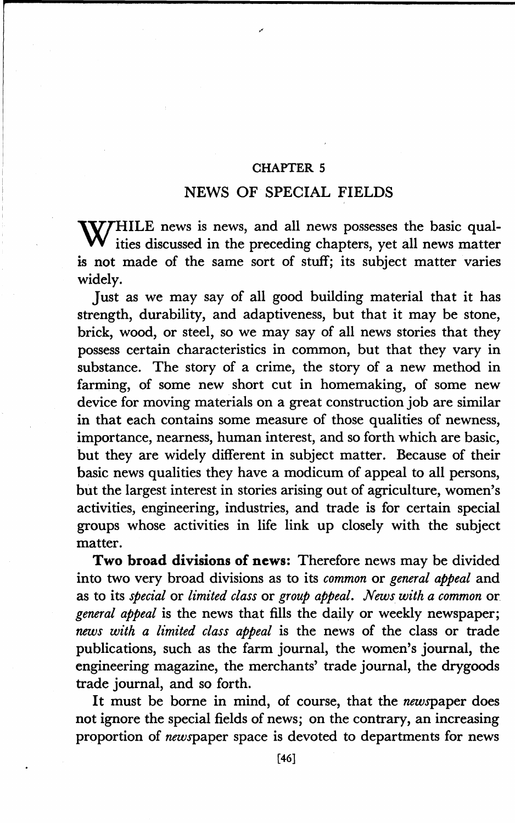## CHAPTER 5

## NEWS OF SPECIAL FIELDS

**WIHILE** news is news, and all news possesses the basic qual-**W** ities discussed in the preceding chapters, yet all news matter is not made of the same sort of stuff; its subject matter varies widely.

Just as we may say of all good building material that it has strength, durability, and adaptiveness, but that it may be stone, brick, wood, or steel, so we may say of all news stories that they possess certain characteristics in common, but that they vary in substance. The story of a crime, the story of a new method in farming, of some new short cut in homemaking, of some new device for moving materials on a great construction job are similar in that each contains some measure of those qualities of newness, importance, nearness, human interest, and so forth which are basic, but they are widely different in subject matter. Because of their basic news qualities they have a modicum of appeal to all persons, but the largest interest in stories arising out of agriculture, women's activities, engineering, industries, and trade is for certain special groups whose activities in life link up closely with the subject matter.

**Two broad divisions of news:** Therefore news may be divided into two very broad divisions as to its *common* or *general appeal* and as to its *special* or *limited class* or *group appeal. News with a common* or *general appeal* is the news that fills the daily or weekly newspaper; *news with a limited class appeal* is the news of the class or trade publications, such as the farm journal, the women's journal, the engineering magazine, the merchants' trade journal, the drygoods trade journal, and so forth.

It must be borne in mind, of course, that the newspaper does not ignore the special fields of news; on the contrary, an increasing proportion of newspaper space is devoted to departments for news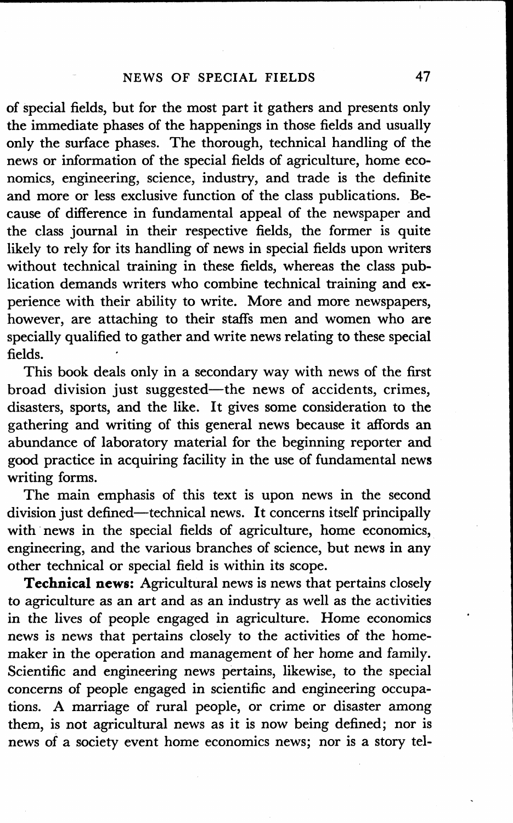of special fields, but for the most part it gathers and presents only the immediate phases of the happenings in those fields and usually only the surface phases. The thorough, technical handling of the news or information of the special fields of agriculture, home economics, engineering, science, industry, and trade is the definite and more or less exclusive function of the class publications. Because of difference in fundamental appeal of the newspaper and the class journal in their respective fields, the former is quite likely to rely for its handling of news in special fields upon writers without technical training in these fields, whereas the class publication demands writers who combine technical training and experience with their ability to write. More and more newspapers, however, are attaching to their staffs men and women who are specially qualified to gather and write news relating to these special fields.

This book deals only in a secondary way with news of the first broad division just suggested-the news of accidents, crimes, disasters, sports, and the like. It gives some consideration to the gathering and writing of this general news because it affords an abundance of laboratory material for the beginning reporter and good practice in acquiring facility in the use of fundamental news writing forms.

The main emphasis of this text is upon news in the second division just defined-technical news. It concerns itself principally with news in the special fields of agriculture, home economics, engineering, and the various branches of science, but news in any other technical or special field is within its scope.

**Technical news:** Agricultural news is news that pertains closely to agriculture as an art and as an industry as well as the activities in the lives of people engaged in agriculture. Home economics news is news that pertains closely to the activities of the homemaker in the operation and management of her home and family. Scientific and engineering news pertains, likewise, to the special concerns of people engaged in scientific and engineering occupations. A marriage of rural people, or crime or disaster among them, is not agricultural news as it is now being defined; nor is news of a society event home economics news; nor is a story tel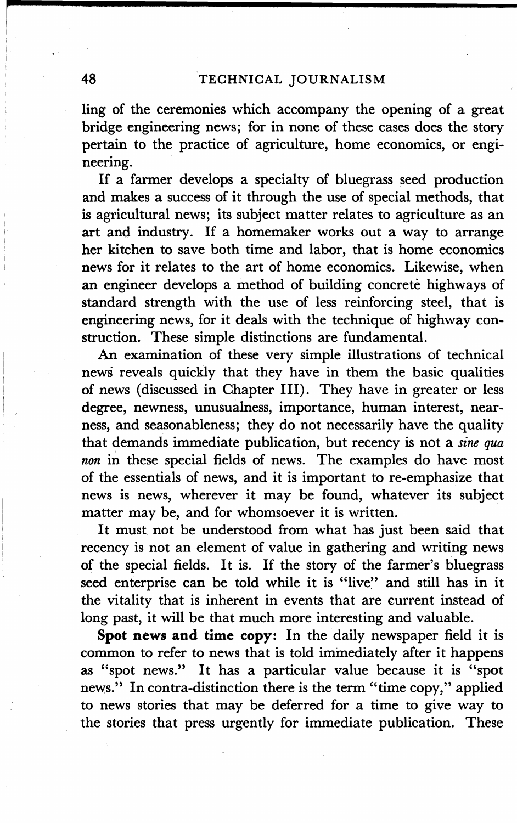ling of the ceremonies which accompany the opening of a great bridge engineering news; for in none of these cases does the story pertain to the practice of agriculture, home economics, or engineering.

If a farmer develops a specialty of bluegrass seed production and makes a success of it through the use of special methods, that is agricultural news; its subject matter relates to agriculture as an art and industry. If a homemaker works out a way to arrange her kitchen to save both time and labor, that is home economics news for it relates to the art of home economics. Likewise, when an engineer develops a method of building concrete highways of standard strength with the use of less reinforcing steel, that is engineering news, for it deals with the technique of highway construction. These simple distinctions are fundamental.

An examination of these very simple illustrations of technical news reveals quickly that they have in them the basic qualities of news (discussed in Chapter III). They have in greater or less degree, newness, unusualness, importance, human interest, nearness, and seasonableness; they do not necessarily have the quality that demands immediate publication, but recency is not a *sine qua non* in these special fields of news. The examples do have most of the essentials of news, and it is important to re-emphasize that news is news, wherever it may be found, whatever its subject matter may be, and for whomsoever it is written.

It must not be understood from what has just been said that recency is not an element of value in gathering and writing news of the special fields. It is. If the story of the farmer's bluegrass seed enterprise can be told while it is "live" and still has in it the vitality that is inherent in events that are current instead of long past, it will be that much more interesting and valuable.

Spot news and time copy: In the daily newspaper field it is common to refer to news that is told immediately after it happens as "spot news." It has a particular value because it is "spot news." In contra-distinction there is the term "time copy," applied to news stories that may be deferred for a time to give way to the stories that press urgently for immediate publication. These

I'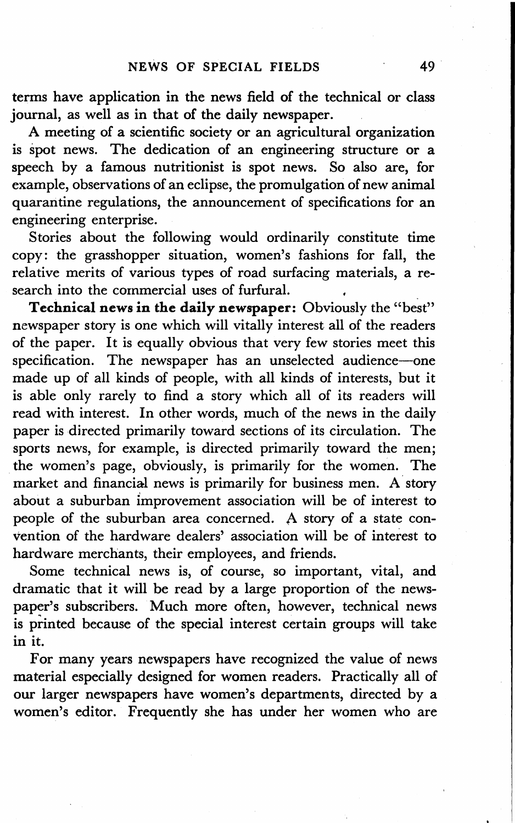terms have application in the news field of the technical or class journal, as well as in that of the daily newspaper.

A meeting of a scientific society or an agricultural organization is spot news. The dedication of an engineering structure or a speech by a famous nutritionist is spot news. So also are, for example, observations of an eclipse, the promulgation of new animal quarantine regulations, the announcement of specifications for an engineering enterprise.

Stories about the following would ordinarily constitute time copy: the grasshopper situation, women's fashions for fall, the relative merits of various types of road surfacing materials, a research into the commercial uses of furfural.

**Technical news in the daily newspaper:** Obviously the "best" newspaper story is one which will vitally interest all of the readers of the paper. It is equally obvious that very few stories meet this specification. The newspaper has an unselected audience-one made up of all kinds of people, with all kinds of interests, but it is able only rarely to find a story which all of its readers will read with interest. In other words, much of the news in the daily paper is directed primarily toward sections of its circulation. The sports news, for example, is directed primarily toward the men; the women's page, obviously, is primarily for the women. The market and financial news is primarily for business men. A story about a suburban improvement association will be of interest to people of the suburban area concerned. A story of a state convention of the hardware dealers' association will be of interest to hardware merchants, their employees, and friends.

Some technical news is, of course, so important, vital, and dramatic that it will be read by a large proportion of the newspaper's subscribers. Much more often, however, technical news is printed because of the special interest certain groups will take in it.

For many years newspapers have recognized the value of news material especially designed for women readers. Practically all of our larger newspapers have women's departments, directed by a women's editor. Frequently she has under her women who are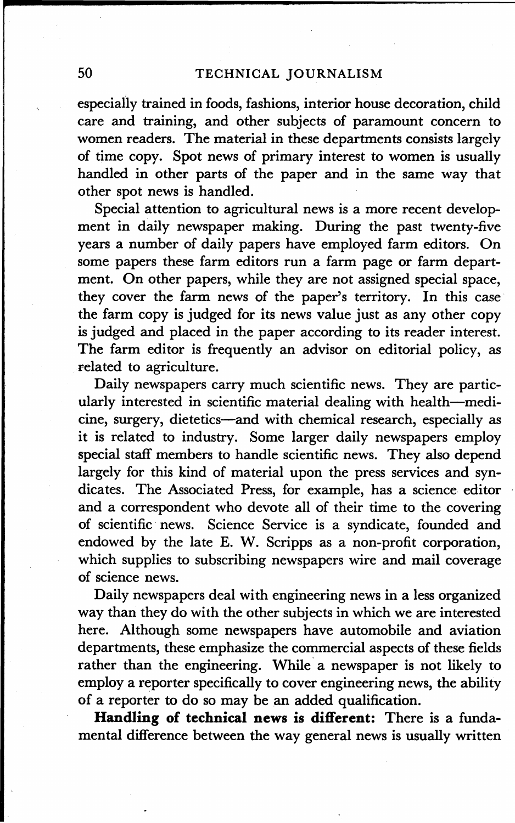especially trained in foods, fashions, interior house decoration, child care and training, and other subjects of paramount concern to women readers. The material in these departments consists largely of time copy. Spot news of primary interest to women is usually handled in other parts of the paper and in the same way that other spot news is handled.

Special attention to agricultural news is a more recent development in daily newspaper making. During the past twenty-five years a number of daily papers have employed farm editors. On some papers these farm editors run a farm page or farm department. On other papers, while they are not assigned special space, they cover the farm news of the paper's territory. In this case the farm copy is judged for its news value just as any other copy is judged and placed in the paper according to its reader interest. The farm editor is frequently an advisor on editorial policy, as related to agriculture.

Daily newspapers carry much scientific news. They are particularly interested in scientific material dealing with health-medicine, surgery, dietetics-and with chemical research, especially as it is related to industry. Some larger daily newspapers employ special staff members to handle scientific news. They also depend largely for this kind of material upon the press services and syndicates. The Associated Press, for example, has a science editor and a correspondent who devote all of their time to the covering of scientific news. Science Service is a syndicate, founded and endowed by the late E. W. Scripps as a non-profit corporation, which supplies to subscribing newspapers wire and mail coverage of science news.

Daily newspapers deal with engineering news in a less organized way than they do with the other subjects in which we are interested here. Although some newspapers have automobile and aviation departments, these emphasize the commercial aspects of these fields rather than the engineering. While a newspaper is not likely to employ a reporter specifically to cover engineering news, the ability of a reporter to do so may be an added qualification.

**Handling of technical news is different:** There is a fundamental difference between the way general news is usually written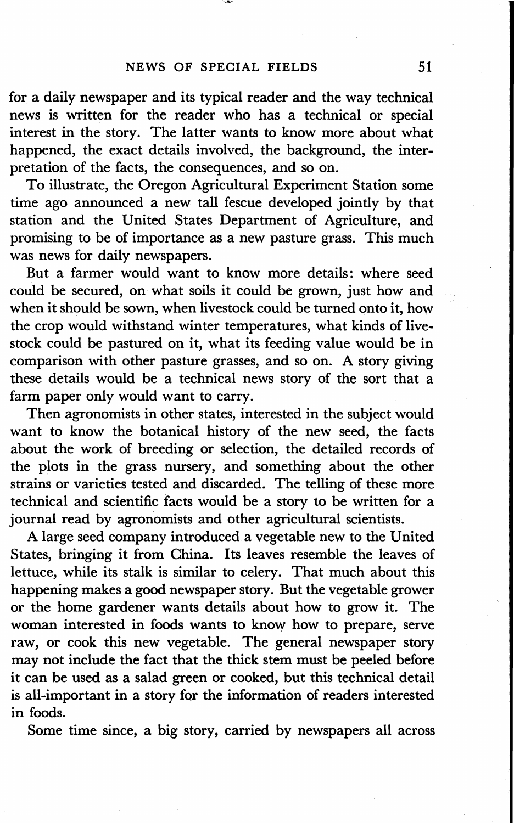for a daily newspaper and its typical reader and the way technical news is written for the reader who has a technical or special interest in the story. The latter wants to know more about what happened, the exact details involved, the background, the interpretation of the facts, the consequences, and so on.

To illustrate, the Oregon Agricultural Experiment Station some time ago announced a new tall fescue developed jointly by that station and the United States Department of Agriculture, and promising to be of importance as a new pasture grass. This much was news for daily newspapers.

But a farmer would want to know more details: where seed could be secured, on what soils it could be grown, just how and when it should be sown, when livestock could be turned onto it, how the crop would withstand winter temperatures, what kinds of livestock could be pastured on it, what its feeding value would be in comparison with other pasture grasses, and so on. A story giving these details would be a technical news story of the sort that a farm paper only would want to carry.

Then agronomists in other states, interested in the subject would want to know the botanical history of the new seed, the facts about the work of breeding or selection, the detailed records of the plots in the grass nursery, and something about the other strains or varieties tested and discarded. The telling of these more technical and scientific facts would be a story to be written for a journal read by agronomists and other agricultural scientists.

A large seed company introduced a vegetable new to the United States, bringing it from China. Its leaves resemble the leaves of lettuce, while its stalk is similar to celery. That much about this happening makes a good newspaper story. But the vegetable grower or the home gardener wants details about how to grow it. The woman interested in foods wants to know how to prepare, serve raw, or cook this new vegetable. The general newspaper story may not include the fact that the thick stem must be peeled before it can be used as a salad green or cooked, but this technical detail is all-important in a story for the information of readers interested in foods.

Some time since, a big story, carried by newspapers all across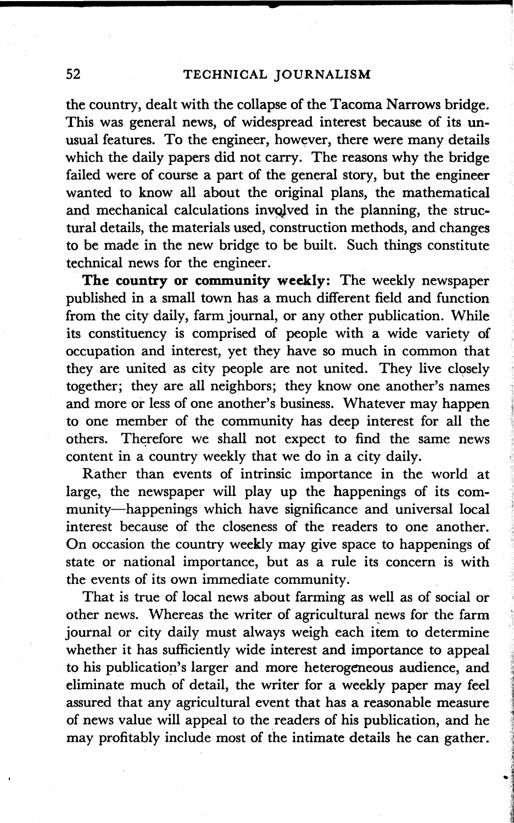the country, dealt with the collapse of the Tacoma Narrows bridge. This was general news, of widespread interest because of its unusual features. To the engineer, however, there were many details which the daily papers did not carry. The reasons why the bridge failed were of course a part of the general story, but the engineer wanted to know all about the original plans, the mathematical and mechanical calculations involved in the planning, the structural details, the materials used, construction methods, and changes to be made in the new bridge to be built. Such things constitute technical news for the engineer.

**The country or community weekly:** The weekly newspaper published in a small town has a much different field and function from the city daily, farm journal, or any other publication. While its constituency is comprised of people with a wide variety of occupation and interest, yet they have so much in common that they are united as city people are not united. They live closely together; they are all neighbors; they know one another's names and more or less of one another's business. Whatever may happen to one member of the community has deep interest for all the others. Therefore we shall not expect to find the same news content in a country weekly that we do in a city daily.

Rather than events of intrinsic importance in the world at large, the newspaper will play up the happenings of its community-happenings which have significance and universal local interest because of the closeness of the readers to one another. On occasion the country weekly may give space to happenings of state or national importance, but as a rule its concern is with the events of its own immediate community.

That is true of local news about farming as well as of social or other news. Whereas the writer of agricultural news for the farm journal or city daily must always weigh each item to determine whether it has sufficiently wide interest and importance to appeal to his publication's larger and more heterogeneous audience, and eliminate much of detail, the writer for a weekly paper may feel assured that any agricultural event that has a reasonable measure of news value will appeal to the readers of his publication, and he may profitably include most of the intimate details he can gather.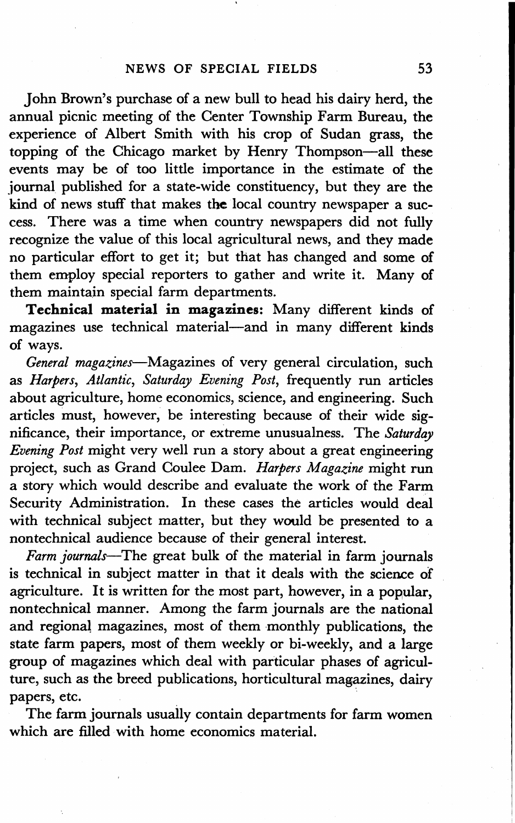John Brown's purchase of a new bull to head his dairy herd, the annual picnic meeting of the Center Township Farm Bureau, the experience of Albert Smith with his crop of Sudan grass, the topping of the Chicago market by Henry Thompson-all these events may be of too little importance in the estimate of the journal published for a state-wide constituency, but they are the kind of news stuff that makes the local country newspaper a success. There was a time when country newspapers did not fully recognize the value of this local agricultural news, and they made no particular effort to get it; but that has changed and some of them employ special reporters to gather and write it. Many of them maintain special farm departments.

**Technical material in magazines:** Many different kinds of magazines use technical material-and in many different kinds of ways.

*General magazines-Magazines* of very general circulation, such as *Harpers, Atlantic, Saturday Evening Post,* frequently run articles about agriculture, home economics, science, and engineering. Such articles must, however, be interesting because of their wide significance, their importance, or extreme unusualness. The *Saturday Evening Post* might very well run a story about a great engineering project, such as Grand Coulee Dam. *Harpers Magazine* might run a story which would describe and evaluate the work of the Farm Security Administration. In these cases the articles would deal with technical subject matter, but they would be presented to a nontechnical audience because of their general interest.

*Farm journals-The* great bulk of the material in farm journals is technical in subject matter in that it deals with the science of agriculture. It is written for the most part, however, in a popular, nontechnical manner. Among the farm journals are the national and regional magazines, most of them monthly publications, the state farm papers, most of them weekly or bi-weekly, and a large group of magazines which deal with particular phases of agriculture, such as the breed publications, horticultural magazines, dairy papers, etc.

The farm journals usually contain departments for farm women which are filled with home economics material.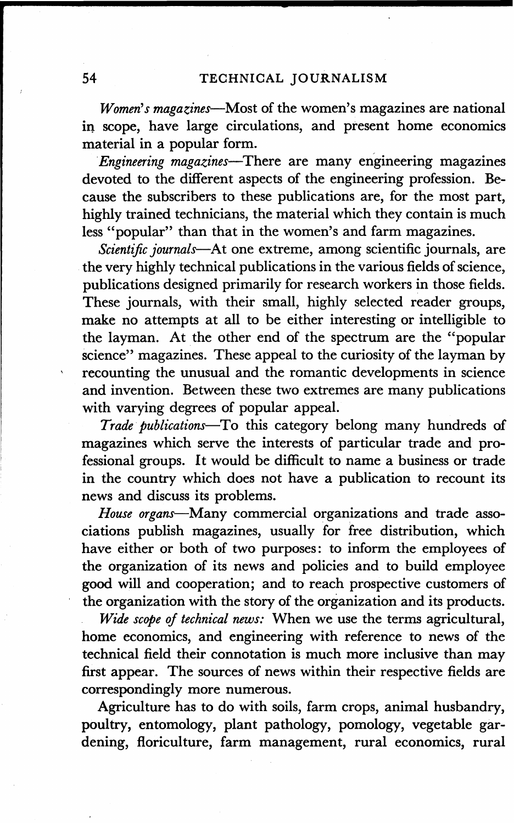*Women's magatines-Most* of the women's magazines are national in scope, have large circulations, and present home economics material in a popular form.

*Engineering magazines-There* are many engineering magazines devoted to the different aspects of the engineering profession. Because the subscribers to these publications are, for the most part, highly trained technicians, the material which they contain is much less "popular" than that in the women's and farm magazines.

*Scientific journals-At* one extreme, among scientific journals, are the very highly technical publications in the various fields of science, publications designed primarily for research workers in those fields. These journals, with their small, highly selected reader groups, make no attempts at all to be either interesting or intelligible to the layman. At the other end of the spectrum are the "popular science" magazines. These appeal to the curiosity of the layman by recounting the unusual and the romantic developments in science and invention. Between these two extremes are many publications with varying degrees of popular appeal.

*Trade publications-To* this category belong many hundreds of magazines which serve the interests of particular trade and professional groups. It would be difficult to name a business or trade in the country which does not have a publication to recount its news and discuss its problems.

*House organs-Many* commercial organizations and trade associations publish magazines, usually for free distribution, which have either or both of two purposes: to inform the employees of the organization of its news and policies and to build employee good will and cooperation; and to reach prospective customers of the organization with the story of the organization and its products.

*Wide scope of technical news:* When we use the terms agricultural, home economics, and engineering with reference to news of the technical field their connotation is much more inclusive than may first appear. The sources of news within their respective fields are correspondingly more numerous.

Agriculture has to do with soils, farm crops, animal husbandry, poultry, entomology, plant pathology, pomology, vegetable gardening, floriculture, farm management, rural economics, rural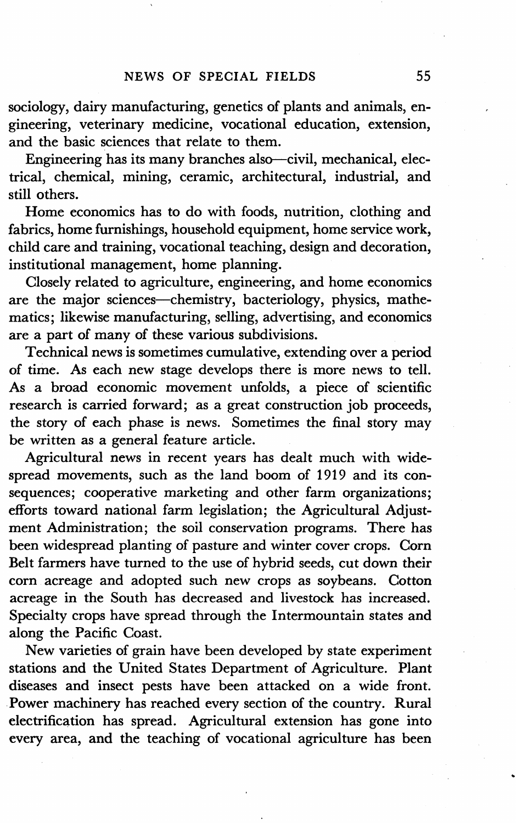sociology, dairy manufacturing, genetics of plants and animals, engineering, veterinary medicine, vocational education, extension, and the basic sciences that relate to them.

Engineering has its many branches also-civil, mechanical, electrical, chemical, mining, ceramic, architectural, industrial, and still others.

Home economics has to do with foods, nutrition, clothing and fabrics, home furnishings, household equipment, home service work, child care and training, vocational teaching, design and decoration, institutional management, home planning.

Closely related to agriculture, engineering, and home economics are the major sciences-chemistry, bacteriology, physics, mathematics; likewise manufacturing, selling, advertising, and economics are a part of many of these various subdivisions.

Technical news is sometimes cumulative, extending over a period of time. As each new stage develops there is more news to tell. As a broad economic movement unfolds, a piece of scientific research is carried forward; as a great construction job proceeds, the story of each phase is news. Sometimes the final story may be written as a general feature article.

Agricultural news in recent years has dealt much with widespread movements, such as the land boom of 1919 and its consequences; cooperative marketing and other farm organizations; efforts toward national farm legislation; the Agricultural Adjustment Administration; the soil conservation programs. There has been widespread planting of pasture and winter cover crops. Corn Belt farmers have turned to the use of hybrid seeds, cut down their corn acreage and adopted such new crops as soybeans. Cotton acreage in the South has decreased and livestock has increased. Specialty crops have spread through the Intermountain states and along the Pacific Coast.

New varieties of grain have been developed by state experiment stations and the United States Department of Agriculture. Plant diseases and insect pests have been attacked on a wide front. Power machinery has reached every section of the country. Rural electrification has spread. Agricultural extension has gone into every area, and the teaching of vocational agriculture has been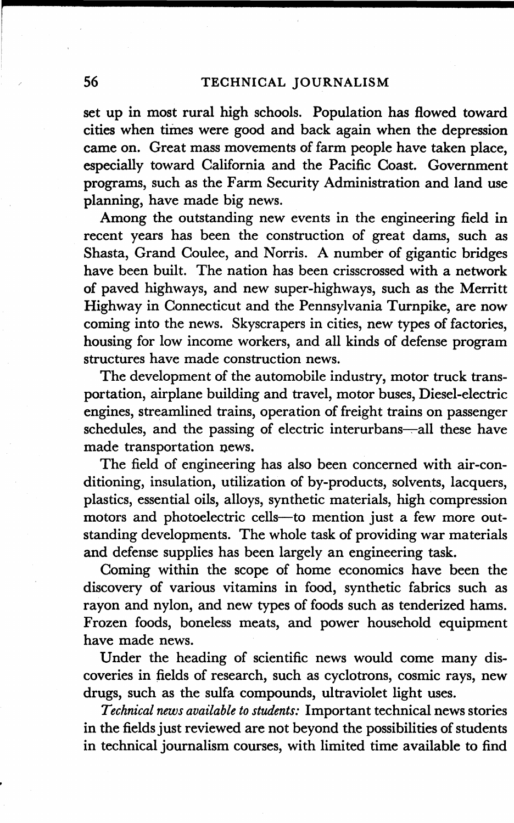set up in most rural high schools. Population has flowed toward cities when times were good and back again when the depression came on. Great mass movements of farm people have taken place, especially toward California and the Pacific Coast. Government programs, such as the Farm Security Administration and land use planning, have made big news.

Among the outstanding new events in the engineering field in recent years has been the construction of great dams, such as Shasta, Grand Coulee, and Norris. A number of gigantic bridges have been built. The nation has been crisscrossed with a network of paved highways, and new super-highways, such as the Merritt Highway in Connecticut and the Pennsylvania Turnpike, are now coming into the news. Skyscrapers in cities, new types of factories, housing for low income workers, and all kinds of defense program structures have made construction news.

The development of the automobile industry, motor truck transportation, airplane building and travel, motor buses, Diesel-electric engines, streamlined trains, operation of freight trains on passenger schedules, and the passing of electric interurbans---all these have made transportation news.

The field of engineering has also been concerned with air-conditioning, insulation, utilization of by-products, solvents, lacquers, plastics, essential oils, alloys, synthetic materials, high compression motors and photoelectric cells-to mention just a few more outstanding developments. The whole task of providing war materials and defense supplies has been largely an engineering task.

Coming within the scope of home economics have been the discovery of various vitamins in food, synthetic fabrics such as rayon and nylon, and new types of foods such as tenderized hams. Frozen foods, boneless meats, and power household equipment have made news.

Under the heading of scientific news would come many discoveries in fields of research, such as cyclotrons, cosmic rays, new drugs, such as the sulfa compounds, ultraviolet light uses.

*Technical news available to students:* Important technical news stories in the fields just reviewed are not beyond the possibilities of students in technical journalism courses, with limited time available to find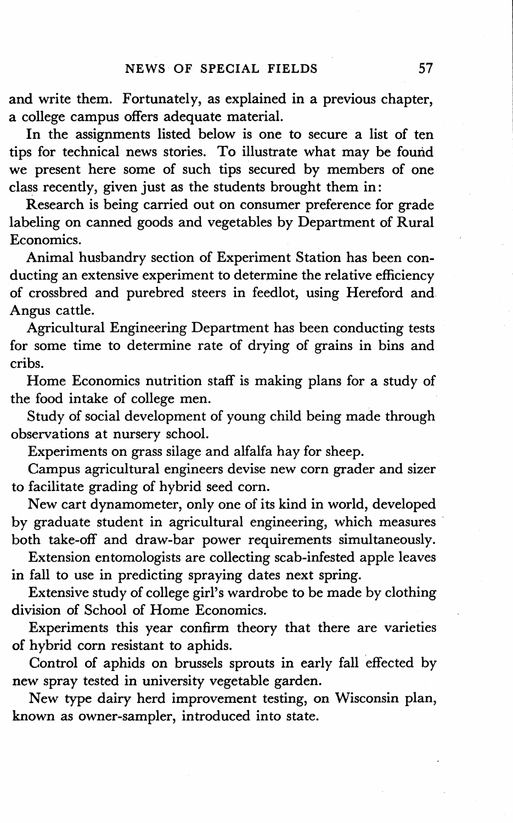and write them. Fortunately, as explained in a previous chapter, a college campus offers adequate material.

In the assignments listed below is one to secure a list of ten tips for technical news stories. To illustrate what may be found we present here some of such tips secured by members of one class recently, given just as the students brought them in:

Research is being carried out on consumer preference for grade labeling on canned goods and vegetables by Department of Rural Economics.

Animal husbandry section of Experiment Station has been conducting an extensive experiment to determine the relative efficiency of crossbred and purebred steers in feedlot, using Hereford and Angus cattle.

Agricultural Engineering Department has been conducting tests for some time to determine rate of drying of grains in bins and cribs.

Home Economics nutrition staff is making plans for a study of the food intake of college men.

Study of social development of young child being made through observations at nursery school.

Experiments on grass silage and alfalfa hay for sheep.

Campus agricultural engineers devise new corn grader and sizer to facilitate grading of hybrid seed corn.

New cart dynamometer, only one of its kind in world, developed by graduate student in agricultural engineering, which measures both take-off and draw-bar power requirements simultaneously.

Extension entomologists are collecting scab-infested apple leaves in fall to use in predicting spraying dates next spring.

Extensive study of college girl's wardrobe to be made by clothing division of School of Home Economics.

Experiments this year confirm theory that there are varieties of hybrid corn resistant to aphids.

Control of aphids on brussels sprouts in early fall effected by new spray tested in university vegetable garden.

New type dairy herd improvement testing, on Wisconsin plan, known as owner-sampler, introduced into state.